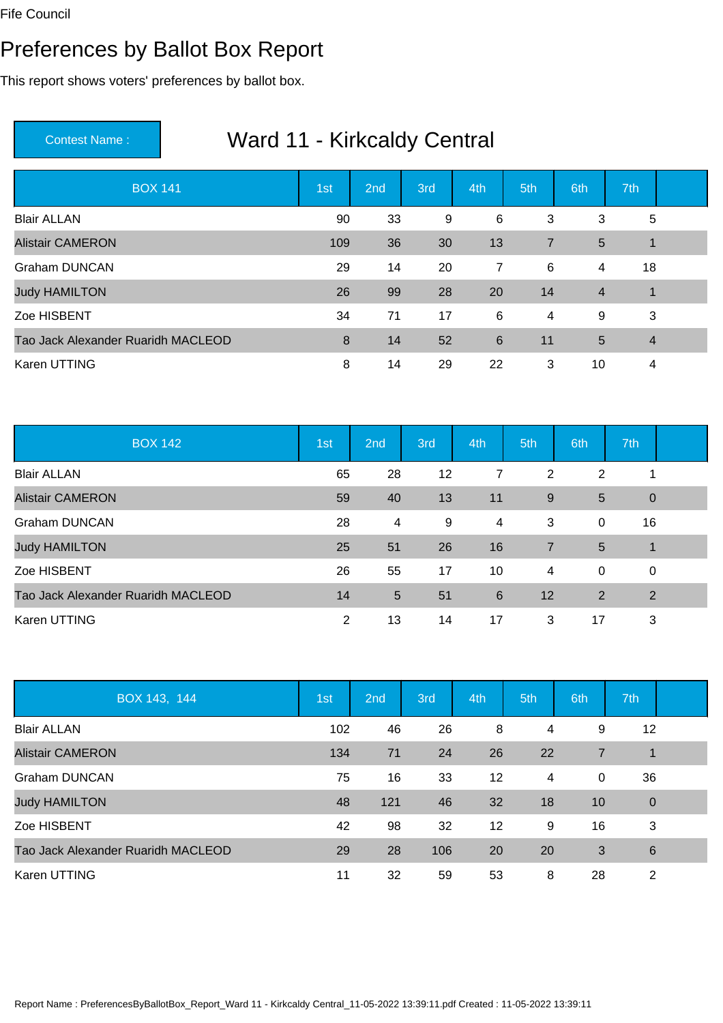#### Preferences by Ballot Box Report

This report shows voters' preferences by ballot box.

| <b>BOX 141</b>                     | 1st | 2nd | 3rd | 4th            | 5th            | 6th            | 7th                  |  |
|------------------------------------|-----|-----|-----|----------------|----------------|----------------|----------------------|--|
| <b>Blair ALLAN</b>                 | 90  | 33  | 9   | 6              | 3              | 3              | 5                    |  |
| <b>Alistair CAMERON</b>            | 109 | 36  | 30  | 13             | $\overline{7}$ | 5              | $\overline{1}$       |  |
| <b>Graham DUNCAN</b>               | 29  | 14  | 20  | $\overline{7}$ | 6              | 4              | 18                   |  |
| <b>Judy HAMILTON</b>               | 26  | 99  | 28  | 20             | 14             | $\overline{4}$ | $\blacktriangleleft$ |  |
| Zoe HISBENT                        | 34  | 71  | 17  | 6              | 4              | 9              | 3                    |  |
| Tao Jack Alexander Ruaridh MACLEOD | 8   | 14  | 52  | 6              | 11             | 5              | $\overline{4}$       |  |
| Karen UTTING                       | 8   | 14  | 29  | 22             | 3              | 10             | 4                    |  |

| <b>BOX 142</b>                     | 1st | 2nd            | 3rd | 4th            | 5th | 6th | 7th         |  |
|------------------------------------|-----|----------------|-----|----------------|-----|-----|-------------|--|
| <b>Blair ALLAN</b>                 | 65  | 28             | 12  | 7              | 2   | 2   | 1           |  |
| <b>Alistair CAMERON</b>            | 59  | 40             | 13  | 11             | 9   | 5   | $\theta$    |  |
| <b>Graham DUNCAN</b>               | 28  | 4              | 9   | $\overline{4}$ | 3   | 0   | 16          |  |
| <b>Judy HAMILTON</b>               | 25  | 51             | 26  | 16             | 7   | 5   | $\mathbf 1$ |  |
| Zoe HISBENT                        | 26  | 55             | 17  | 10             | 4   | 0   | $\mathbf 0$ |  |
| Tao Jack Alexander Ruaridh MACLEOD | 14  | $5\phantom{1}$ | 51  | 6              | 12  | 2   | 2           |  |
| Karen UTTING                       | 2   | 13             | 14  | 17             | 3   | 17  | 3           |  |

| BOX 143, 144                       | 1st | 2 <sub>nd</sub> | 3rd | 4th               | 5th | 6th | 7th             |  |
|------------------------------------|-----|-----------------|-----|-------------------|-----|-----|-----------------|--|
| <b>Blair ALLAN</b>                 | 102 | 46              | 26  | 8                 | 4   | 9   | 12              |  |
| <b>Alistair CAMERON</b>            | 134 | 71              | 24  | 26                | 22  | 7   | 1               |  |
| <b>Graham DUNCAN</b>               | 75  | 16              | 33  | $12 \overline{ }$ | 4   | 0   | 36              |  |
| <b>Judy HAMILTON</b>               | 48  | 121             | 46  | 32                | 18  | 10  | $\mathbf 0$     |  |
| Zoe HISBENT                        | 42  | 98              | 32  | $12 \overline{ }$ | 9   | 16  | 3               |  |
| Tao Jack Alexander Ruaridh MACLEOD | 29  | 28              | 106 | 20                | 20  | 3   | $6\phantom{1}6$ |  |
| Karen UTTING                       | 11  | 32              | 59  | 53                | 8   | 28  | 2               |  |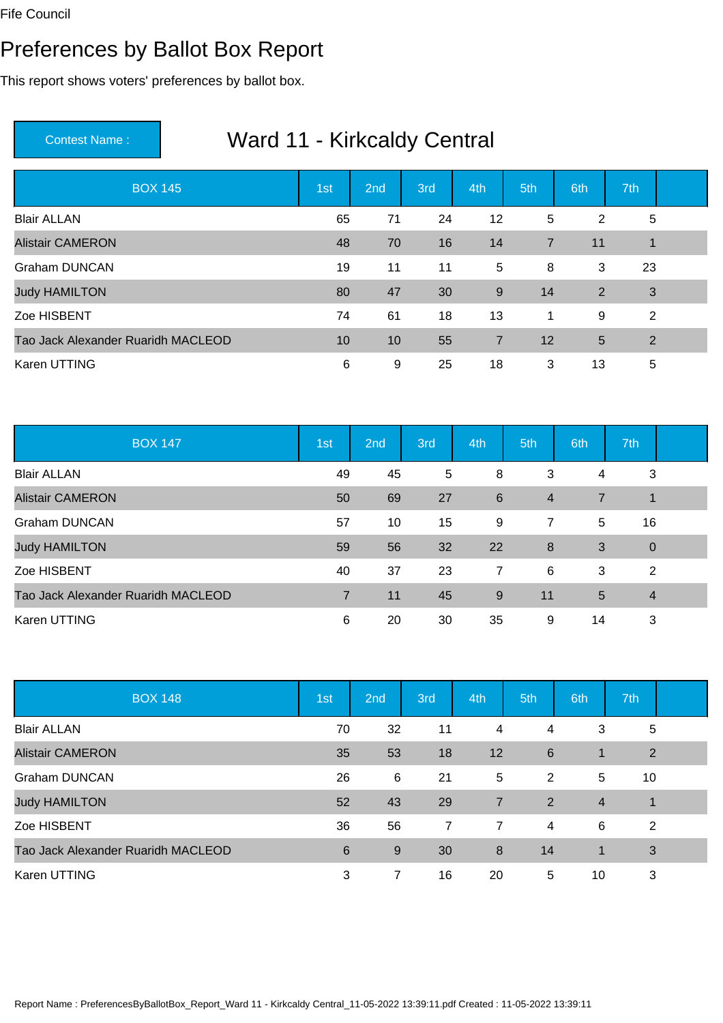#### Preferences by Ballot Box Report

This report shows voters' preferences by ballot box.

| <b>BOX 145</b>                     | 1st | 2nd | 3rd | 4th            | 5th            | 6th | 7th            |  |
|------------------------------------|-----|-----|-----|----------------|----------------|-----|----------------|--|
| <b>Blair ALLAN</b>                 | 65  | 71  | 24  | 12             | 5              | 2   | 5              |  |
| <b>Alistair CAMERON</b>            | 48  | 70  | 16  | 14             | $\overline{7}$ | 11  | $\overline{1}$ |  |
| <b>Graham DUNCAN</b>               | 19  | 11  | 11  | 5              | 8              | 3   | 23             |  |
| <b>Judy HAMILTON</b>               | 80  | 47  | 30  | 9              | 14             | 2   | $\mathbf{3}$   |  |
| Zoe HISBENT                        | 74  | 61  | 18  | 13             | $\mathbf 1$    | 9   | 2              |  |
| Tao Jack Alexander Ruaridh MACLEOD | 10  | 10  | 55  | $\overline{7}$ | 12             | 5   | 2              |  |
| Karen UTTING                       | 6   | 9   | 25  | 18             | 3              | 13  | 5              |  |

| <b>BOX 147</b>                     | 1st            | 2nd | 3rd | 4th             | 5th            | 6th | 7th            |  |
|------------------------------------|----------------|-----|-----|-----------------|----------------|-----|----------------|--|
| <b>Blair ALLAN</b>                 | 49             | 45  | 5   | 8               | 3              | 4   | 3              |  |
| <b>Alistair CAMERON</b>            | 50             | 69  | 27  | $6\phantom{1}6$ | $\overline{4}$ | 7   | $\mathbf 1$    |  |
| <b>Graham DUNCAN</b>               | 57             | 10  | 15  | 9               | $\overline{7}$ | 5   | 16             |  |
| <b>Judy HAMILTON</b>               | 59             | 56  | 32  | 22              | 8              | 3   | $\overline{0}$ |  |
| Zoe HISBENT                        | 40             | 37  | 23  | $\overline{7}$  | 6              | 3   | 2              |  |
| Tao Jack Alexander Ruaridh MACLEOD | $\overline{7}$ | 11  | 45  | 9               | 11             | 5   | $\overline{4}$ |  |
| Karen UTTING                       | 6              | 20  | 30  | 35              | 9              | 14  | 3              |  |

| <b>BOX 148</b>                     | 1st | 2 <sub>nd</sub> | 3rd            | 4th            | 5th            | 6th            | 7th            |  |
|------------------------------------|-----|-----------------|----------------|----------------|----------------|----------------|----------------|--|
| <b>Blair ALLAN</b>                 | 70  | 32              | 11             | 4              | 4              | 3              | 5              |  |
| <b>Alistair CAMERON</b>            | 35  | 53              | 18             | 12             | 6              | $\mathbf 1$    | $\overline{2}$ |  |
| <b>Graham DUNCAN</b>               | 26  | 6               | 21             | 5              | 2              | 5              | 10             |  |
| <b>Judy HAMILTON</b>               | 52  | 43              | 29             | $\overline{7}$ | 2              | $\overline{4}$ | $\mathbf 1$    |  |
| Zoe HISBENT                        | 36  | 56              | $\overline{7}$ | 7              | $\overline{4}$ | 6              | $\overline{2}$ |  |
| Tao Jack Alexander Ruaridh MACLEOD | 6   | 9               | 30             | 8              | 14             | 1              | 3              |  |
| Karen UTTING                       | 3   | 7               | 16             | 20             | 5              | 10             | 3              |  |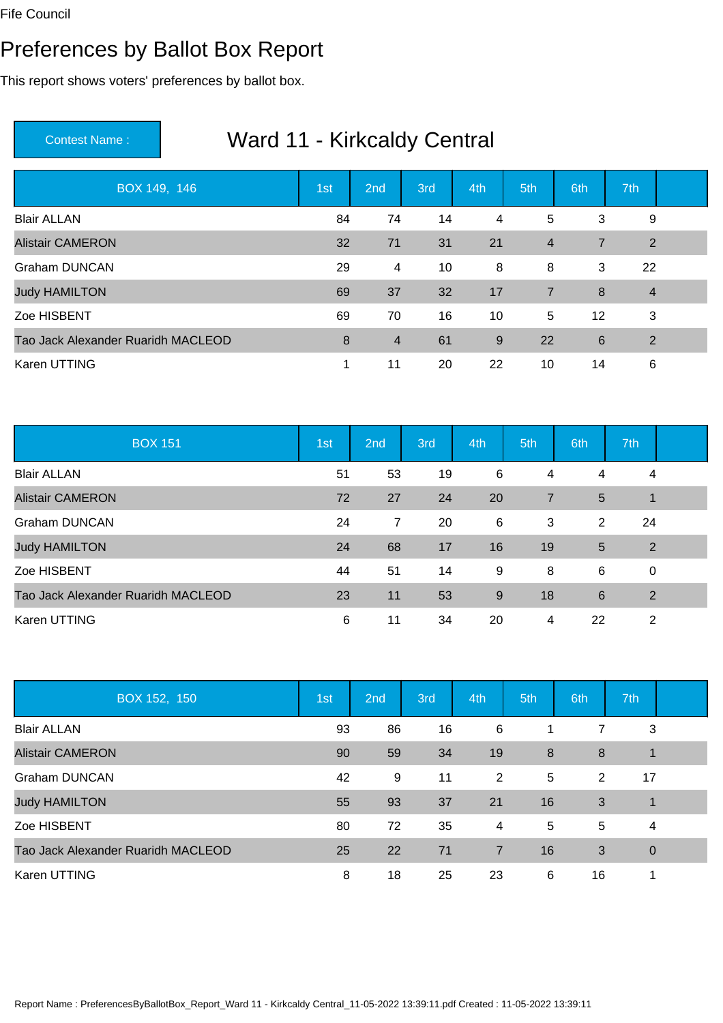#### Preferences by Ballot Box Report

This report shows voters' preferences by ballot box.

| BOX 149, 146                       | 1st | 2nd            | 3rd | 4th | 5th            | 6th               | 7th            |  |
|------------------------------------|-----|----------------|-----|-----|----------------|-------------------|----------------|--|
| <b>Blair ALLAN</b>                 | 84  | 74             | 14  | 4   | 5              | 3                 | 9              |  |
| <b>Alistair CAMERON</b>            | 32  | 71             | 31  | 21  | $\overline{4}$ | $\overline{7}$    | 2              |  |
| <b>Graham DUNCAN</b>               | 29  | 4              | 10  | 8   | 8              | 3                 | 22             |  |
| <b>Judy HAMILTON</b>               | 69  | 37             | 32  | 17  | $\overline{7}$ | 8                 | $\overline{4}$ |  |
| Zoe HISBENT                        | 69  | 70             | 16  | 10  | 5              | $12 \overline{ }$ | 3              |  |
| Tao Jack Alexander Ruaridh MACLEOD | 8   | $\overline{4}$ | 61  | 9   | 22             | $6\phantom{1}6$   | $\overline{2}$ |  |
| Karen UTTING                       |     | 11             | 20  | 22  | 10             | 14                | 6              |  |

| <b>BOX 151</b>                     | 1st | 2nd | 3rd | 4th   | 5th            | 6th | 7th            |  |
|------------------------------------|-----|-----|-----|-------|----------------|-----|----------------|--|
| <b>Blair ALLAN</b>                 | 51  | 53  | 19  | 6     | 4              | 4   | 4              |  |
| <b>Alistair CAMERON</b>            | 72  | 27  | 24  | 20    | $\overline{7}$ | 5   | $\mathbf 1$    |  |
| <b>Graham DUNCAN</b>               | 24  | 7   | 20  | 6     | 3              | 2   | 24             |  |
| <b>Judy HAMILTON</b>               | 24  | 68  | 17  | 16    | 19             | 5   | $\overline{2}$ |  |
| Zoe HISBENT                        | 44  | 51  | 14  | 9     | 8              | 6   | $\mathbf 0$    |  |
| Tao Jack Alexander Ruaridh MACLEOD | 23  | 11  | 53  | $9\,$ | 18             | 6   | $\overline{2}$ |  |
| Karen UTTING                       | 6   | 11  | 34  | 20    | 4              | 22  | 2              |  |

| BOX 152, 150                       | 1st | 2 <sub>nd</sub> | 3rd | 4th            | 5th | 6th | 7th         |  |
|------------------------------------|-----|-----------------|-----|----------------|-----|-----|-------------|--|
| <b>Blair ALLAN</b>                 | 93  | 86              | 16  | 6              | 1   | 7   | 3           |  |
| <b>Alistair CAMERON</b>            | 90  | 59              | 34  | 19             | 8   | 8   | $\mathbf 1$ |  |
| <b>Graham DUNCAN</b>               | 42  | 9               | 11  | 2              | 5   | 2   | 17          |  |
| <b>Judy HAMILTON</b>               | 55  | 93              | 37  | 21             | 16  | 3   | $\mathbf 1$ |  |
| Zoe HISBENT                        | 80  | 72              | 35  | 4              | 5   | 5   | 4           |  |
| Tao Jack Alexander Ruaridh MACLEOD | 25  | 22              | 71  | $\overline{7}$ | 16  | 3   | $\mathbf 0$ |  |
| <b>Karen UTTING</b>                | 8   | 18              | 25  | 23             | 6   | 16  | 1           |  |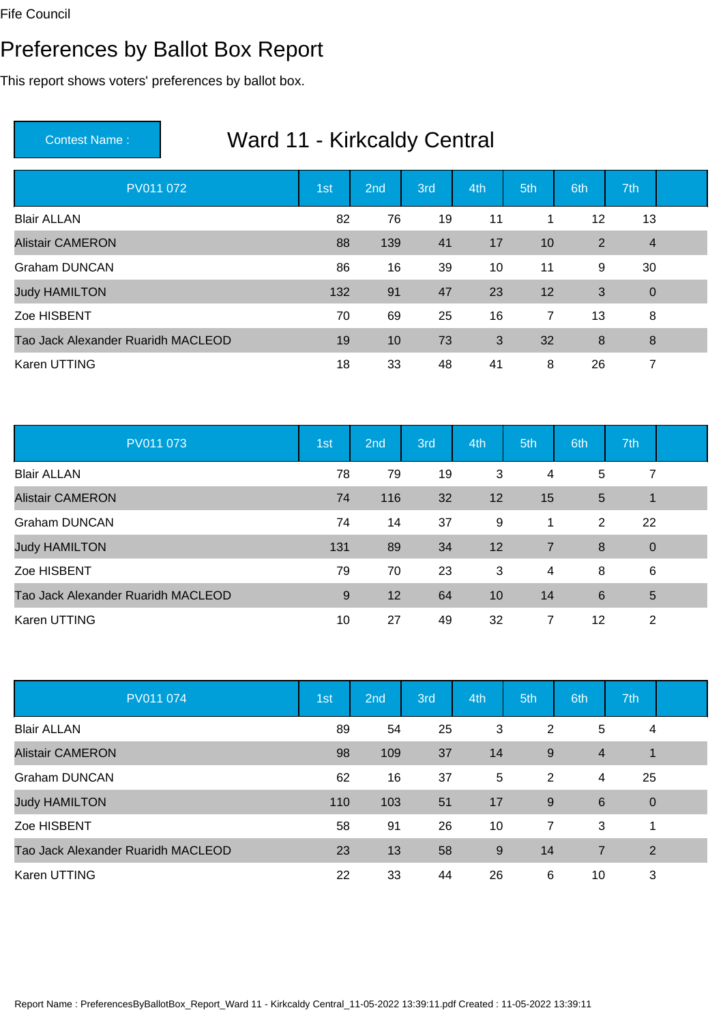#### Preferences by Ballot Box Report

This report shows voters' preferences by ballot box.

| PV011 072                          | 1st | 2nd | 3rd | 4th | 5th            | 6th            | 7th            |  |
|------------------------------------|-----|-----|-----|-----|----------------|----------------|----------------|--|
| <b>Blair ALLAN</b>                 | 82  | 76  | 19  | 11  | 1              | 12             | 13             |  |
| <b>Alistair CAMERON</b>            | 88  | 139 | 41  | 17  | 10             | $\overline{2}$ | $\overline{4}$ |  |
| <b>Graham DUNCAN</b>               | 86  | 16  | 39  | 10  | 11             | 9              | 30             |  |
| <b>Judy HAMILTON</b>               | 132 | 91  | 47  | 23  | 12             | 3              | $\overline{0}$ |  |
| Zoe HISBENT                        | 70  | 69  | 25  | 16  | $\overline{7}$ | 13             | 8              |  |
| Tao Jack Alexander Ruaridh MACLEOD | 19  | 10  | 73  | 3   | 32             | 8              | 8              |  |
| Karen UTTING                       | 18  | 33  | 48  | 41  | 8              | 26             | 7              |  |

| PV011 073                          | 1st | 2 <sub>nd</sub> | 3rd | 4th | 5th | 6th | 7th         |  |
|------------------------------------|-----|-----------------|-----|-----|-----|-----|-------------|--|
| <b>Blair ALLAN</b>                 | 78  | 79              | 19  | 3   | 4   | 5   | 7           |  |
| <b>Alistair CAMERON</b>            | 74  | 116             | 32  | 12  | 15  | 5   | 1           |  |
| <b>Graham DUNCAN</b>               | 74  | 14              | 37  | 9   | 1   | 2   | 22          |  |
| <b>Judy HAMILTON</b>               | 131 | 89              | 34  | 12  | 7   | 8   | $\mathbf 0$ |  |
| Zoe HISBENT                        | 79  | 70              | 23  | 3   | 4   | 8   | 6           |  |
| Tao Jack Alexander Ruaridh MACLEOD | 9   | 12              | 64  | 10  | 14  | 6   | 5           |  |
| Karen UTTING                       | 10  | 27              | 49  | 32  | 7   | 12  | 2           |  |

| PV011 074                          | 1st | 2 <sub>nd</sub> | 3rd | 4th | 5th            | 6th            | 7th         |  |
|------------------------------------|-----|-----------------|-----|-----|----------------|----------------|-------------|--|
| <b>Blair ALLAN</b>                 | 89  | 54              | 25  | 3   | 2              | 5              | 4           |  |
| <b>Alistair CAMERON</b>            | 98  | 109             | 37  | 14  | 9              | $\overline{4}$ | 1           |  |
| <b>Graham DUNCAN</b>               | 62  | 16              | 37  | 5   | 2              | 4              | 25          |  |
| <b>Judy HAMILTON</b>               | 110 | 103             | 51  | 17  | 9              | 6              | $\mathbf 0$ |  |
| Zoe HISBENT                        | 58  | 91              | 26  | 10  | $\overline{7}$ | 3              | 1           |  |
| Tao Jack Alexander Ruaridh MACLEOD | 23  | 13              | 58  | 9   | 14             | $\overline{7}$ | 2           |  |
| Karen UTTING                       | 22  | 33              | 44  | 26  | 6              | 10             | 3           |  |